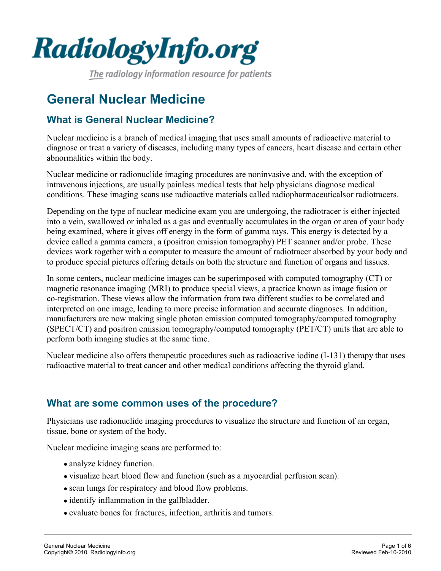

The radiology information resource for patients

# **General Nuclear Medicine**

## **What is General Nuclear Medicine?**

Nuclear medicine is a branch of medical imaging that uses small amounts of radioactive material to diagnose or treat a variety of diseases, including many types of cancers, heart disease and certain other abnormalities within the body.

Nuclear medicine or radionuclide imaging procedures are noninvasive and, with the exception of intravenous injections, are usually painless medical tests that help physicians diagnose medical conditions. These imaging scans use radioactive materials called radiopharmaceuticals or radiotracers.

Depending on the type of nuclear medicine exam you are undergoing, the radiotracer is either injected into a vein, swallowed or inhaled as a gas and eventually accumulates in the organ or area of your body being examined, where it gives off energy in the form of gamma rays. This energy is detected by a device called a gamma camera, a (positron emission tomography) PET scanner and/or probe. These devices work together with a computer to measure the amount of radiotracer absorbed by your body and to produce special pictures offering details on both the structure and function of organs and tissues.

In some centers, nuclear medicine images can be superimposed with computed tomography (CT) or magnetic resonance imaging (MRI) to produce special views, a practice known as image fusion or co-registration. These views allow the information from two different studies to be correlated and interpreted on one image, leading to more precise information and accurate diagnoses. In addition, manufacturers are now making single photon emission computed tomography/computed tomography (SPECT/CT) and positron emission tomography/computed tomography (PET/CT) units that are able to perform both imaging studies at the same time.

Nuclear medicine also offers therapeutic procedures such as radioactive iodine (I-131) therapy that uses radioactive material to treat cancer and other medical conditions affecting the thyroid gland.

#### **What are some common uses of the procedure?**

Physicians use radionuclide imaging procedures to visualize the structure and function of an organ, tissue, bone or system of the body.

Nuclear medicine imaging scans are performed to:

- analyze kidney function.
- visualize heart blood flow and function (such as a myocardial perfusion scan).
- scan lungs for respiratory and blood flow problems.
- identify inflammation in the gallbladder.
- evaluate bones for fractures, infection, arthritis and tumors.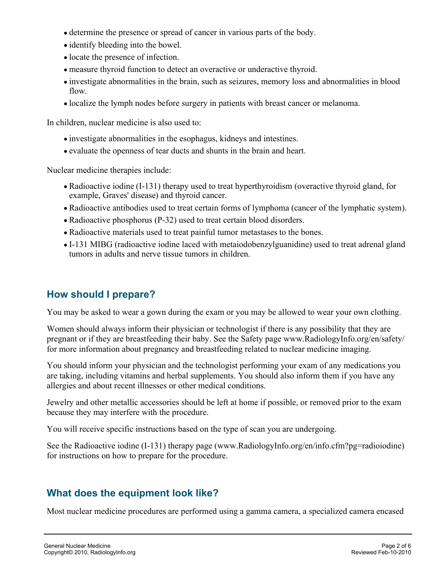- determine the presence or spread of cancer in various parts of the body.
- identify bleeding into the bowel.
- locate the presence of infection.
- measure thyroid function to detect an overactive or underactive thyroid.
- investigate abnormalities in the brain, such as seizures, memory loss and abnormalities in blood flow.
- localize the lymph nodes before surgery in patients with breast cancer or melanoma.

In children, nuclear medicine is also used to:

- investigate abnormalities in the esophagus, kidneys and intestines.
- evaluate the openness of tear ducts and shunts in the brain and heart.

Nuclear medicine therapies include:

- Radioactive iodine (I-131) therapy used to treat hyperthyroidism (overactive thyroid gland, for example, Graves' disease) and thyroid cancer.
- Radioactive antibodies used to treat certain forms of lymphoma (cancer of the lymphatic system).
- Radioactive phosphorus (P-32) used to treat certain blood disorders.
- Radioactive materials used to treat painful tumor metastases to the bones.
- I-131 MIBG (radioactive iodine laced with metaiodobenzylguanidine) used to treat adrenal gland tumors in adults and nerve tissue tumors in children.

# **How should I prepare?**

You may be asked to wear a gown during the exam or you may be allowed to wear your own clothing.

Women should always inform their physician or technologist if there is any possibility that they are pregnant or if they are breastfeeding their baby. See the Safety page www.RadiologyInfo.org/en/safety/ for more information about pregnancy and breastfeeding related to nuclear medicine imaging.

You should inform your physician and the technologist performing your exam of any medications you are taking, including vitamins and herbal supplements. You should also inform them if you have any allergies and about recent illnesses or other medical conditions.

Jewelry and other metallic accessories should be left at home if possible, or removed prior to the exam because they may interfere with the procedure.

You will receive specific instructions based on the type of scan you are undergoing.

See the Radioactive iodine (I-131) therapy page (www.RadiologyInfo.org/en/info.cfm?pg=radioiodine) for instructions on how to prepare for the procedure.

### **What does the equipment look like?**

Most nuclear medicine procedures are performed using a gamma camera, a specialized camera encased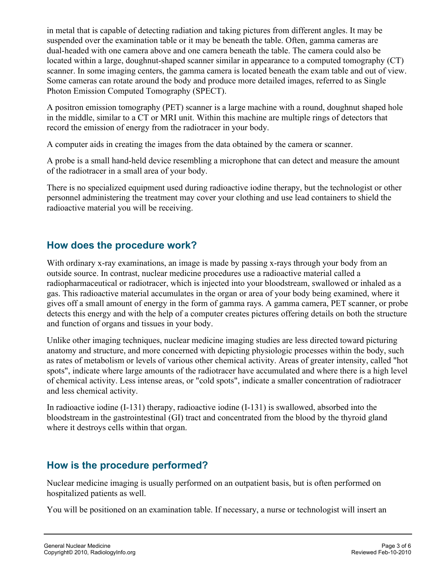in metal that is capable of detecting radiation and taking pictures from different angles. It may be suspended over the examination table or it may be beneath the table. Often, gamma cameras are dual-headed with one camera above and one camera beneath the table. The camera could also be located within a large, doughnut-shaped scanner similar in appearance to a computed tomography (CT) scanner. In some imaging centers, the gamma camera is located beneath the exam table and out of view. Some cameras can rotate around the body and produce more detailed images, referred to as Single Photon Emission Computed Tomography (SPECT).

A positron emission tomography (PET) scanner is a large machine with a round, doughnut shaped hole in the middle, similar to a CT or MRI unit. Within this machine are multiple rings of detectors that record the emission of energy from the radiotracer in your body.

A computer aids in creating the images from the data obtained by the camera or scanner.

A probe is a small hand-held device resembling a microphone that can detect and measure the amount of the radiotracer in a small area of your body.

There is no specialized equipment used during radioactive iodine therapy, but the technologist or other personnel administering the treatment may cover your clothing and use lead containers to shield the radioactive material you will be receiving.

# **How does the procedure work?**

With ordinary x-ray examinations, an image is made by passing x-rays through your body from an outside source. In contrast, nuclear medicine procedures use a radioactive material called a radiopharmaceutical or radiotracer, which is injected into your bloodstream, swallowed or inhaled as a gas. This radioactive material accumulates in the organ or area of your body being examined, where it gives off a small amount of energy in the form of gamma rays. A gamma camera, PET scanner, or probe detects this energy and with the help of a computer creates pictures offering details on both the structure and function of organs and tissues in your body.

Unlike other imaging techniques, nuclear medicine imaging studies are less directed toward picturing anatomy and structure, and more concerned with depicting physiologic processes within the body, such as rates of metabolism or levels of various other chemical activity. Areas of greater intensity, called "hot spots", indicate where large amounts of the radiotracer have accumulated and where there is a high level of chemical activity. Less intense areas, or "cold spots", indicate a smaller concentration of radiotracer and less chemical activity.

In radioactive iodine (I-131) therapy, radioactive iodine (I-131) is swallowed, absorbed into the bloodstream in the gastrointestinal (GI) tract and concentrated from the blood by the thyroid gland where it destroys cells within that organ.

# **How is the procedure performed?**

Nuclear medicine imaging is usually performed on an outpatient basis, but is often performed on hospitalized patients as well.

You will be positioned on an examination table. If necessary, a nurse or technologist will insert an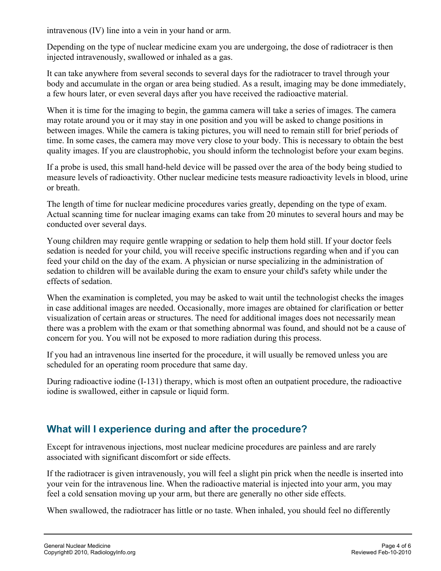intravenous (IV) line into a vein in your hand or arm.

Depending on the type of nuclear medicine exam you are undergoing, the dose of radiotracer is then injected intravenously, swallowed or inhaled as a gas.

It can take anywhere from several seconds to several days for the radiotracer to travel through your body and accumulate in the organ or area being studied. As a result, imaging may be done immediately, a few hours later, or even several days after you have received the radioactive material.

When it is time for the imaging to begin, the gamma camera will take a series of images. The camera may rotate around you or it may stay in one position and you will be asked to change positions in between images. While the camera is taking pictures, you will need to remain still for brief periods of time. In some cases, the camera may move very close to your body. This is necessary to obtain the best quality images. If you are claustrophobic, you should inform the technologist before your exam begins.

If a probe is used, this small hand-held device will be passed over the area of the body being studied to measure levels of radioactivity. Other nuclear medicine tests measure radioactivity levels in blood, urine or breath.

The length of time for nuclear medicine procedures varies greatly, depending on the type of exam. Actual scanning time for nuclear imaging exams can take from 20 minutes to several hours and may be conducted over several days.

Young children may require gentle wrapping or sedation to help them hold still. If your doctor feels sedation is needed for your child, you will receive specific instructions regarding when and if you can feed your child on the day of the exam. A physician or nurse specializing in the administration of sedation to children will be available during the exam to ensure your child's safety while under the effects of sedation.

When the examination is completed, you may be asked to wait until the technologist checks the images in case additional images are needed. Occasionally, more images are obtained for clarification or better visualization of certain areas or structures. The need for additional images does not necessarily mean there was a problem with the exam or that something abnormal was found, and should not be a cause of concern for you. You will not be exposed to more radiation during this process.

If you had an intravenous line inserted for the procedure, it will usually be removed unless you are scheduled for an operating room procedure that same day.

During radioactive iodine (I-131) therapy, which is most often an outpatient procedure, the radioactive iodine is swallowed, either in capsule or liquid form.

### **What will I experience during and after the procedure?**

Except for intravenous injections, most nuclear medicine procedures are painless and are rarely associated with significant discomfort or side effects.

If the radiotracer is given intravenously, you will feel a slight pin prick when the needle is inserted into your vein for the intravenous line. When the radioactive material is injected into your arm, you may feel a cold sensation moving up your arm, but there are generally no other side effects.

When swallowed, the radiotracer has little or no taste. When inhaled, you should feel no differently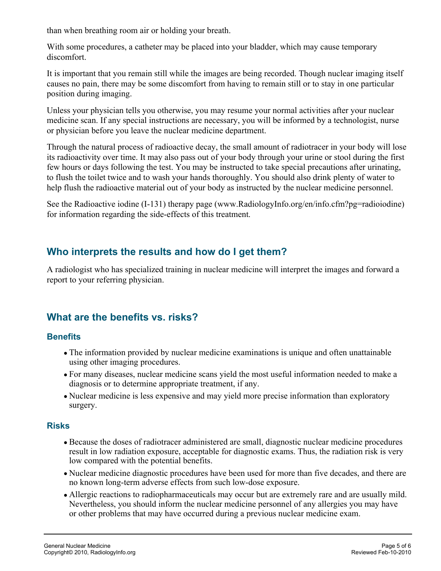than when breathing room air or holding your breath.

With some procedures, a catheter may be placed into your bladder, which may cause temporary discomfort.

It is important that you remain still while the images are being recorded. Though nuclear imaging itself causes no pain, there may be some discomfort from having to remain still or to stay in one particular position during imaging.

Unless your physician tells you otherwise, you may resume your normal activities after your nuclear medicine scan. If any special instructions are necessary, you will be informed by a technologist, nurse or physician before you leave the nuclear medicine department.

Through the natural process of radioactive decay, the small amount of radiotracer in your body will lose its radioactivity over time. It may also pass out of your body through your urine or stool during the first few hours or days following the test. You may be instructed to take special precautions after urinating, to flush the toilet twice and to wash your hands thoroughly. You should also drink plenty of water to help flush the radioactive material out of your body as instructed by the nuclear medicine personnel.

See the Radioactive iodine (I-131) therapy page (www.RadiologyInfo.org/en/info.cfm?pg=radioiodine) for information regarding the side-effects of this treatment.

### **Who interprets the results and how do I get them?**

A radiologist who has specialized training in nuclear medicine will interpret the images and forward a report to your referring physician.

### **What are the benefits vs. risks?**

#### **Benefits**

- The information provided by nuclear medicine examinations is unique and often unattainable using other imaging procedures.
- For many diseases, nuclear medicine scans yield the most useful information needed to make a diagnosis or to determine appropriate treatment, if any.
- Nuclear medicine is less expensive and may yield more precise information than exploratory surgery.

#### **Risks**

- Because the doses of radiotracer administered are small, diagnostic nuclear medicine procedures result in low radiation exposure, acceptable for diagnostic exams. Thus, the radiation risk is very low compared with the potential benefits.
- Nuclear medicine diagnostic procedures have been used for more than five decades, and there are no known long-term adverse effects from such low-dose exposure.
- Allergic reactions to radiopharmaceuticals may occur but are extremely rare and are usually mild. Nevertheless, you should inform the nuclear medicine personnel of any allergies you may have or other problems that may have occurred during a previous nuclear medicine exam.